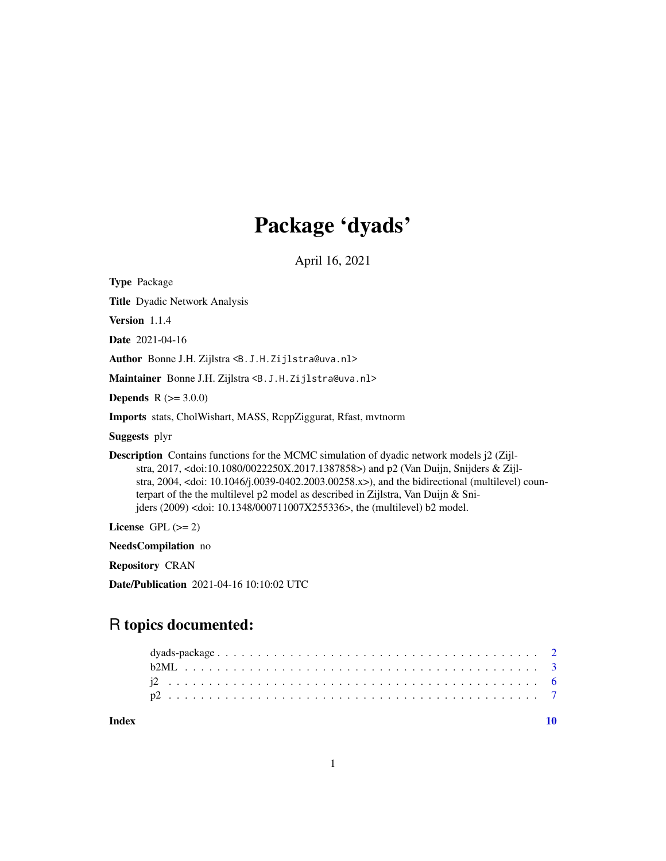## Package 'dyads'

April 16, 2021

Type Package Title Dyadic Network Analysis Version 1.1.4 Date 2021-04-16 Author Bonne J.H. Zijlstra <B.J.H.Zijlstra@uva.nl> Maintainer Bonne J.H. Zijlstra <B.J.H.Zijlstra@uva.nl> **Depends** R  $(>= 3.0.0)$ Imports stats, CholWishart, MASS, RcppZiggurat, Rfast, mvtnorm Suggests plyr Description Contains functions for the MCMC simulation of dyadic network models j2 (Zijlstra, 2017, <doi:10.1080/0022250X.2017.1387858>) and p2 (Van Duijn, Snijders & Zijlstra, 2004, <doi: 10.1046/j.0039-0402.2003.00258.x>), and the bidirectional (multilevel) counterpart of the the multilevel p2 model as described in Zijlstra, Van Duijn & Snijders (2009) <doi: 10.1348/000711007X255336>, the (multilevel) b2 model. License GPL  $(>= 2)$ NeedsCompilation no Repository CRAN

Date/Publication 2021-04-16 10:10:02 UTC

## R topics documented:

 $\blacksquare$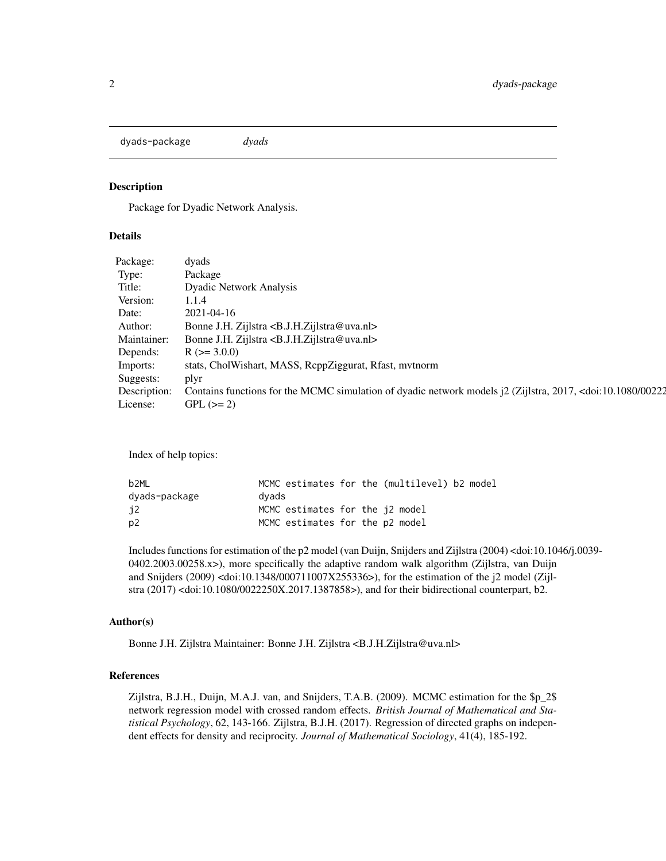<span id="page-1-0"></span>dyads-package *dyads*

#### Description

Package for Dyadic Network Analysis.

#### Details

| Package:  | dyads                                                                                                                                            |
|-----------|--------------------------------------------------------------------------------------------------------------------------------------------------|
| Type:     | Package                                                                                                                                          |
| Title:    | <b>Dyadic Network Analysis</b>                                                                                                                   |
| Version:  | 1.1.4                                                                                                                                            |
| Date:     | 2021-04-16                                                                                                                                       |
| Author:   | Bonne J.H. Zijlstra <b.j.h.zijlstra@uva.nl></b.j.h.zijlstra@uva.nl>                                                                              |
|           | Maintainer: Bonne J.H. Zijlstra <b.j.h. zijlstra@uva.nl=""></b.j.h.>                                                                             |
| Depends:  | $R$ ( $>=$ 3.0.0)                                                                                                                                |
| Imports:  | stats, CholWishart, MASS, ReppZiggurat, Rfast, mvtnorm                                                                                           |
| Suggests: | plyr                                                                                                                                             |
|           | Description: Contains functions for the MCMC simulation of dyadic network models j2 (Zijlstra, 2017, <doi:10.1080 00222<="" td=""></doi:10.1080> |
| License:  | $GPL (= 2)$                                                                                                                                      |

Index of help topics:

| b <sub>2ML</sub> | MCMC estimates for the (multilevel) b2 model |
|------------------|----------------------------------------------|
| dyads-package    | dvads                                        |
| 12               | MCMC estimates for the 12 model              |
| p <sub>2</sub>   | MCMC estimates for the p2 model              |

Includes functions for estimation of the p2 model (van Duijn, Snijders and Zijlstra (2004) <doi:10.1046/j.0039- 0402.2003.00258.x>), more specifically the adaptive random walk algorithm (Zijlstra, van Duijn and Snijders (2009) <doi:10.1348/000711007X255336>), for the estimation of the j2 model (Zijlstra (2017) <doi:10.1080/0022250X.2017.1387858>), and for their bidirectional counterpart, b2.

#### Author(s)

Bonne J.H. Zijlstra Maintainer: Bonne J.H. Zijlstra <B.J.H.Zijlstra@uva.nl>

#### References

Zijlstra, B.J.H., Duijn, M.A.J. van, and Snijders, T.A.B. (2009). MCMC estimation for the \$p\_2\$ network regression model with crossed random effects. *British Journal of Mathematical and Statistical Psychology*, 62, 143-166. Zijlstra, B.J.H. (2017). Regression of directed graphs on independent effects for density and reciprocity. *Journal of Mathematical Sociology*, 41(4), 185-192.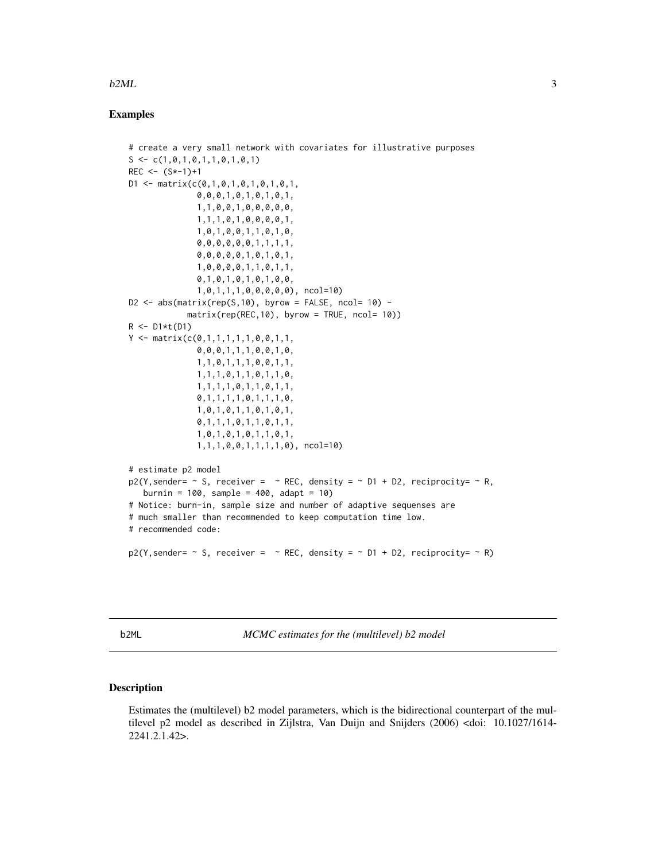#### <span id="page-2-0"></span> $b2ML$  3

#### Examples

```
# create a very small network with covariates for illustrative purposes
S \leftarrow c(1, 0, 1, 0, 1, 1, 0, 1, 0, 1)REC \leftarrow (S*-1)+1D1 \leq - matrix(c(0,1,0,1,0,1,0,1,0,1,
               0,0,0,1,0,1,0,1,0,1,
               1,1,0,0,1,0,0,0,0,0,
               1,1,1,0,1,0,0,0,0,1,
               1,0,1,0,0,1,1,0,1,0,
               0,0,0,0,0,0,1,1,1,1,
               0,0,0,0,0,1,0,1,0,1,
               1,0,0,0,0,1,1,0,1,1,
               0,1,0,1,0,1,0,1,0,0,
               1,0,1,1,1,0,0,0,0,0), ncol=10)
D2 \le - abs(matrix(rep(S,10), byrow = FALSE, ncol= 10) -
             matrix(rep(REC,10), byrow = TRUE, ncol= 10))
R \leftarrow D1*t(D1)Y \leq - matrix(c(0,1,1,1,1,1,0,0,1,1,
               0,0,0,1,1,1,0,0,1,0,
               1,1,0,1,1,1,0,0,1,1,
               1,1,1,0,1,1,0,1,1,0,
               1,1,1,1,0,1,1,0,1,1,
               0,1,1,1,1,0,1,1,1,0,
               1,0,1,0,1,1,0,1,0,1,
               0,1,1,1,0,1,1,0,1,1,
               1,0,1,0,1,0,1,1,0,1,
               1,1,1,0,0,1,1,1,1,0), ncol=10)
# estimate p2 model
p2(Y, sender = \sim S, receiver = \sim REC, density = \sim D1 + D2, reciprocity = \sim R,burnin = 100, sample = 400, adapt = 10)
# Notice: burn-in, sample size and number of adaptive sequenses are
# much smaller than recommended to keep computation time low.
# recommended code:
p2(Y, sender = \sim S, receiver = \sim REC, density = \sim D1 + D2, reciprocity = \sim R)
```
b2ML *MCMC estimates for the (multilevel) b2 model*

#### Description

Estimates the (multilevel) b2 model parameters, which is the bidirectional counterpart of the multilevel p2 model as described in Zijlstra, Van Duijn and Snijders (2006) <doi: 10.1027/1614- 2241.2.1.42>.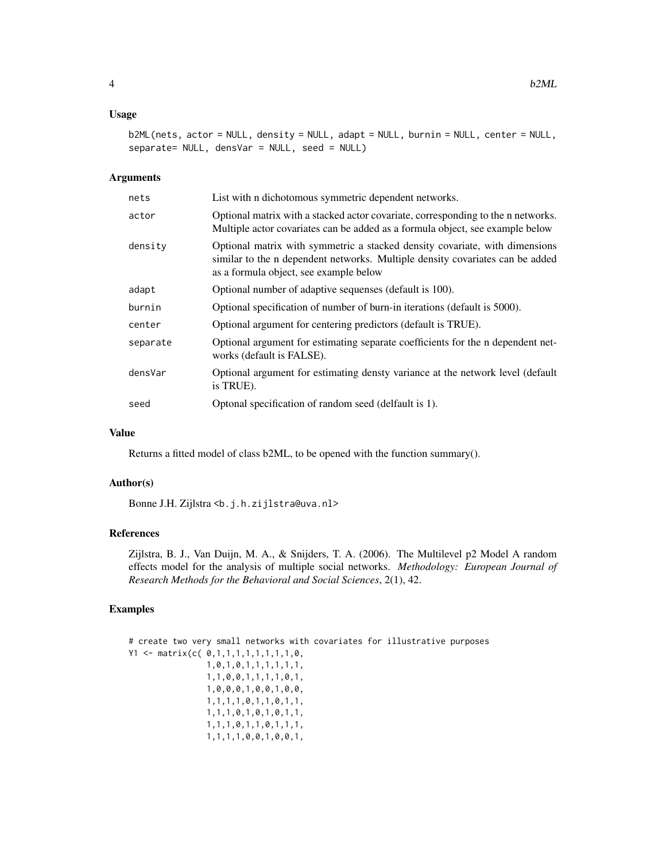#### Usage

```
b2ML(nets, actor = NULL, density = NULL, adapt = NULL, burnin = NULL, center = NULL,
separate= NULL, densVar = NULL, seed = NULL)
```
#### Arguments

| List with n dichotomous symmetric dependent networks.                                                                                                                                                  |
|--------------------------------------------------------------------------------------------------------------------------------------------------------------------------------------------------------|
| Optional matrix with a stacked actor covariate, corresponding to the n networks.<br>Multiple actor covariates can be added as a formula object, see example below                                      |
| Optional matrix with symmetric a stacked density covariate, with dimensions<br>similar to the n dependent networks. Multiple density covariates can be added<br>as a formula object, see example below |
| Optional number of adaptive sequenses (default is 100).                                                                                                                                                |
| Optional specification of number of burn-in iterations (default is 5000).                                                                                                                              |
| Optional argument for centering predictors (default is TRUE).                                                                                                                                          |
| Optional argument for estimating separate coefficients for the n dependent net-<br>works (default is FALSE).                                                                                           |
| Optional argument for estimating densty variance at the network level (default<br>is TRUE).                                                                                                            |
| Optonal specification of random seed (delfault is 1).                                                                                                                                                  |
|                                                                                                                                                                                                        |

#### Value

Returns a fitted model of class b2ML, to be opened with the function summary().

#### Author(s)

Bonne J.H. Zijlstra <b.j.h.zijlstra@uva.nl>

#### References

Zijlstra, B. J., Van Duijn, M. A., & Snijders, T. A. (2006). The Multilevel p2 Model A random effects model for the analysis of multiple social networks. *Methodology: European Journal of Research Methods for the Behavioral and Social Sciences*, 2(1), 42.

#### Examples

```
# create two very small networks with covariates for illustrative purposes
Y1 <- matrix(c( 0, 1, 1, 1, 1, 1, 1, 1, 1, 0,1,0,1,0,1,1,1,1,1,1,
                1,1,0,0,1,1,1,1,0,1,
                1,0,0,0,1,0,0,1,0,0,
                1,1,1,1,0,1,1,0,1,1,
                1,1,1,0,1,0,1,0,1,1,
                1,1,1,0,1,1,0,1,1,1,
                1,1,1,1,0,0,1,0,0,1,
```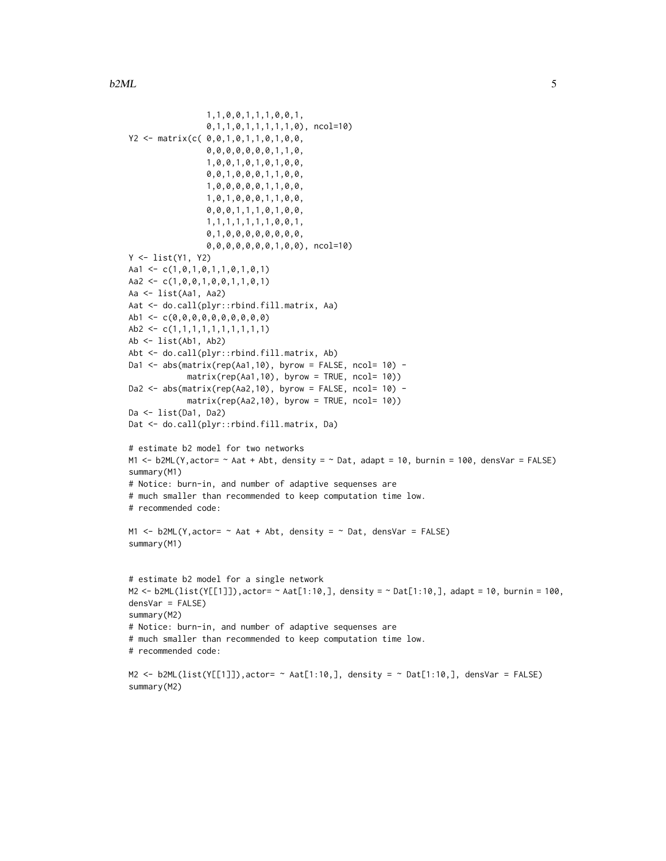```
1,1,0,0,1,1,1,0,0,1,
                0,1,1,0,1,1,1,1,1,0), ncol=10)
Y2 <- matrix(c( 0,0,1,0,1,1,0,1,0,0,
                0,0,0,0,0,0,0,1,1,0,
                1,0,0,1,0,1,0,1,0,0,
                0,0,1,0,0,0,1,1,0,0,
                1,0,0,0,0,0,1,1,0,0,
                1,0,1,0,0,0,1,1,0,0,
                0,0,0,1,1,1,0,1,0,0,
                1,1,1,1,1,1,1,0,0,1,
                0,1,0,0,0,0,0,0,0,0,
                0,0,0,0,0,0,0,1,0,0), ncol=10)
Y <- list(Y1, Y2)
Aa1 <- c(1,0,1,0,1,1,0,1,0,1)
Aa2 <- c(1,0,0,1,0,0,1,1,0,1)
Aa <- list(Aa1, Aa2)
Aat <- do.call(plyr::rbind.fill.matrix, Aa)
Ab1 <- c(0,0,0,0,0,0,0,0,0,0)
Ab2 <- c(1,1,1,1,1,1,1,1,1,1,1)Ab <- list(Ab1, Ab2)
Abt <- do.call(plyr::rbind.fill.matrix, Ab)
Da1 \leq abs(matrix(rep(Aa1,10), byrow = FALSE, ncol= 10) -
            matrix(rep(Aa1,10), byrow = TRUE, ncol= 10))
Da2 <- abs(matrix(rep(Aa2,10), byrow = FALSE, ncol= 10) -
            matrix(rep(Aa2,10), byrow = TRUE, ncol= 10))
Da <- list(Da1, Da2)
Dat <- do.call(plyr::rbind.fill.matrix, Da)
# estimate b2 model for two networks
M1 <- b2ML(Y, actor= ~ Aat + Abt, density = ~ Dat, adapt = 10, burnin = 100, densVar = FALSE)
summary(M1)
# Notice: burn-in, and number of adaptive sequenses are
# much smaller than recommended to keep computation time low.
# recommended code:
M1 \leq b2ML(Y, actor= \sim Aat + Abt, density = \sim Dat, densVar = FALSE)
summary(M1)
# estimate b2 model for a single network
M2 <- b2ML(list(Y[[1]]),actor= ~ Aat[1:10,], density = ~ Dat[1:10,], adapt = 10, burnin = 100,
densVar = FALSE)
summary(M2)
# Notice: burn-in, and number of adaptive sequenses are
# much smaller than recommended to keep computation time low.
# recommended code:
M2 <- b2ML(list(Y[[1]]),actor= \sim Aat[1:10,], density = \sim Dat[1:10,], densVar = FALSE)
summary(M2)
```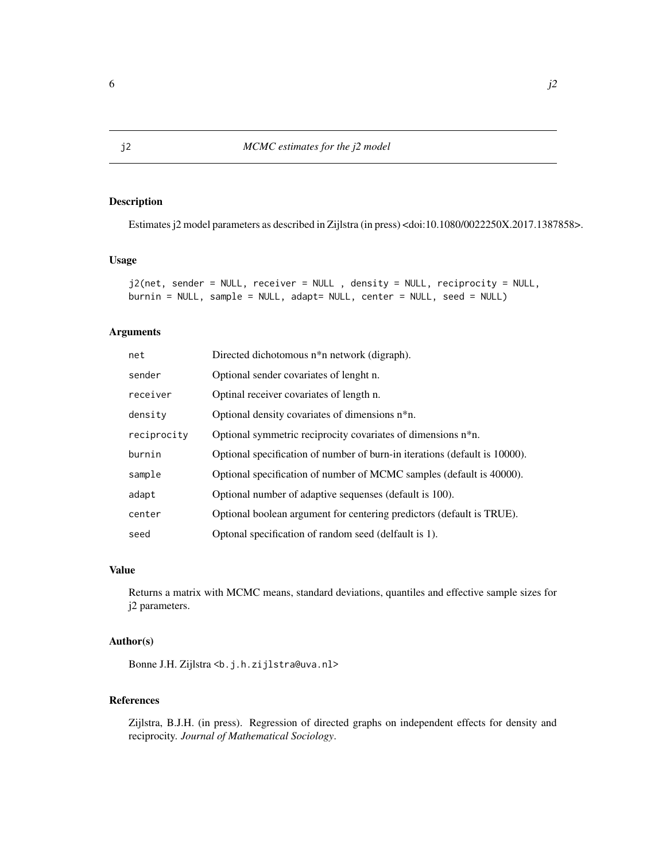#### Description

Estimates j2 model parameters as described in Zijlstra (in press) <doi:10.1080/0022250X.2017.1387858>.

#### Usage

```
j2(net, sender = NULL, receiver = NULL , density = NULL, reciprocity = NULL,
burnin = NULL, sample = NULL, adapt= NULL, center = NULL, seed = NULL)
```
#### Arguments

| net         | Directed dichotomous n <sup>*</sup> n network (digraph).                   |
|-------------|----------------------------------------------------------------------------|
| sender      | Optional sender covariates of lenght n.                                    |
| receiver    | Optinal receiver covariates of length n.                                   |
| density     | Optional density covariates of dimensions n*n.                             |
| reciprocity | Optional symmetric reciprocity covariates of dimensions n <sup>*</sup> n.  |
| burnin      | Optional specification of number of burn-in iterations (default is 10000). |
| sample      | Optional specification of number of MCMC samples (default is 40000).       |
| adapt       | Optional number of adaptive sequenses (default is 100).                    |
| center      | Optional boolean argument for centering predictors (default is TRUE).      |
| seed        | Optonal specification of random seed (delfault is 1).                      |

#### Value

Returns a matrix with MCMC means, standard deviations, quantiles and effective sample sizes for j2 parameters.

#### Author(s)

Bonne J.H. Zijlstra <b.j.h.zijlstra@uva.nl>

#### References

Zijlstra, B.J.H. (in press). Regression of directed graphs on independent effects for density and reciprocity. *Journal of Mathematical Sociology*.

<span id="page-5-0"></span>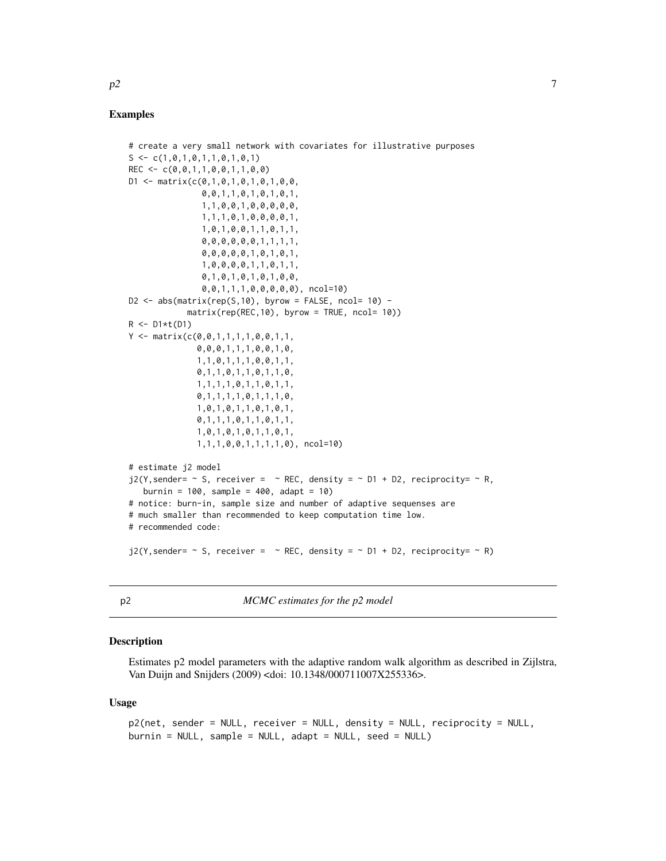#### <span id="page-6-0"></span>Examples

```
# create a very small network with covariates for illustrative purposes
S \leftarrow c(1, 0, 1, 0, 1, 1, 0, 1, 0, 1)REC \leq -c(0, 0, 1, 1, 0, 0, 1, 1, 0, 0)D1 \leq - matrix(c(0,1,0,1,0,1,0,1,0,0,
               0,0,1,1,0,1,0,1,0,1,
               1,1,0,0,1,0,0,0,0,0,
               1,1,1,0,1,0,0,0,0,1,
               1,0,1,0,0,1,1,0,1,1,
                0,0,0,0,0,0,1,1,1,1,
               0,0,0,0,0,1,0,1,0,1,
               1,0,0,0,0,1,1,0,1,1,
               0,1,0,1,0,1,0,1,0,0,
               0,0,1,1,1,0,0,0,0,0), ncol=10)
D2 \le - abs(matrix(rep(S,10), byrow = FALSE, ncol= 10) -
            matrix(rep(REC,10), byrow = TRUE, ncol= 10))
R \leftarrow D1*t(D1)Y <- matrix(c(0,0,1,1,1,1,0,0,1,1,
              0,0,0,1,1,1,0,0,1,0,
              1,1,0,1,1,1,0,0,1,1,
              0,1,1,0,1,1,0,1,1,0,
              1,1,1,1,0,1,1,0,1,1,
              0,1,1,1,1,0,1,1,1,0,
              1,0,1,0,1,1,0,1,0,1,
              0,1,1,1,0,1,1,0,1,1,
              1,0,1,0,1,0,1,1,0,1,
              1,1,1,0,0,1,1,1,1,0), ncol=10)
# estimate j2 model
j2(Y, sender = - S, receiver = - REC, density = - D1 + D2, reciprocity = - R,burnin = 100, sample = 400, adapt = 10)
# notice: burn-in, sample size and number of adaptive sequenses are
# much smaller than recommended to keep computation time low.
# recommended code:
j2(Y, sender = - S, receiver = - REC, density = - D1 + D2, reciprocity = - R)
```
p2 *MCMC estimates for the p2 model*

#### Description

Estimates p2 model parameters with the adaptive random walk algorithm as described in Zijlstra, Van Duijn and Snijders (2009) <doi: 10.1348/000711007X255336>.

#### Usage

```
p2(net, sender = NULL, receiver = NULL, density = NULL, reciprocity = NULL,
burnin = NULL, sample = NULL, adapt = NULL, seed = NULL)
```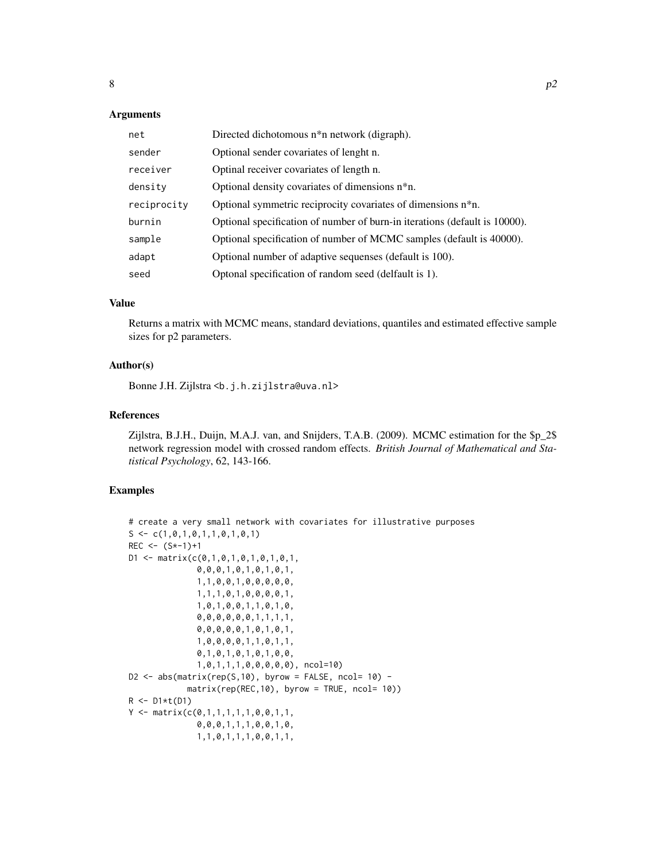#### **Arguments**

| net         | Directed dichotomous n <sup>*</sup> n network (digraph).                   |
|-------------|----------------------------------------------------------------------------|
| sender      | Optional sender covariates of lenght n.                                    |
| receiver    | Optinal receiver covariates of length n.                                   |
| density     | Optional density covariates of dimensions n <sup>*</sup> n.                |
| reciprocity | Optional symmetric reciprocity covariates of dimensions n*n.               |
| burnin      | Optional specification of number of burn-in iterations (default is 10000). |
| sample      | Optional specification of number of MCMC samples (default is 40000).       |
| adapt       | Optional number of adaptive sequenses (default is 100).                    |
| seed        | Optonal specification of random seed (delfault is 1).                      |

#### Value

Returns a matrix with MCMC means, standard deviations, quantiles and estimated effective sample sizes for p2 parameters.

#### Author(s)

Bonne J.H. Zijlstra <b.j.h.zijlstra@uva.nl>

#### References

Zijlstra, B.J.H., Duijn, M.A.J. van, and Snijders, T.A.B. (2009). MCMC estimation for the \$p\_2\$ network regression model with crossed random effects. *British Journal of Mathematical and Statistical Psychology*, 62, 143-166.

#### Examples

```
# create a very small network with covariates for illustrative purposes
S \leftarrow c(1, 0, 1, 0, 1, 1, 0, 1, 0, 1)REC \le (S*-1)+1D1 \leq - matrix(c(0,1,0,1,0,1,0,1,0,1,
               0,0,0,1,0,1,0,1,0,1,
               1,1,0,0,1,0,0,0,0,0,
              1,1,1,0,1,0,0,0,0,1,
               1,0,1,0,0,1,1,0,1,0,
               0,0,0,0,0,0,1,1,1,1,
               0,0,0,0,0,1,0,1,0,1,
               1,0,0,0,0,1,1,0,1,1,
              0,1,0,1,0,1,0,1,0,0,
               1,0,1,1,1,0,0,0,0,0), ncol=10)
D2 \le - abs(matrix(rep(S,10), byrow = FALSE, ncol= 10) -
            matrix(rep(REC,10), byrow = TRUE, ncol= 10))
R \leftarrow D1*t(D1)Y <- matrix(c(0,1,1,1,1,1,0,0,1,1,
               0,0,0,1,1,1,0,0,1,0,
               1,1,0,1,1,1,0,0,1,1,
```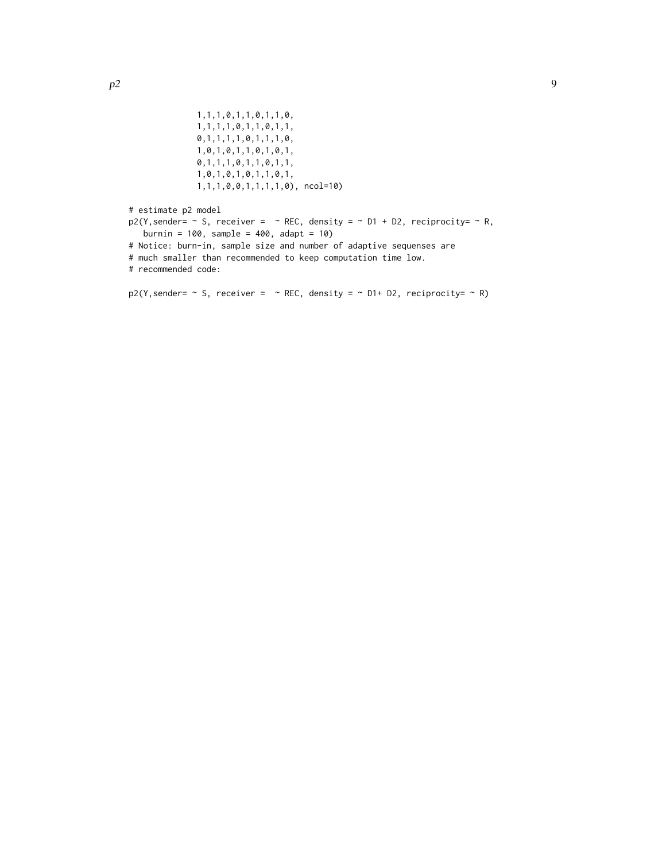```
1,1,1,0,1,1,0,1,1,0,
              1,1,1,1,0,1,1,0,1,1,
              0,1,1,1,1,0,1,1,1,0,
              1,0,1,0,1,1,0,1,0,1,
              0,1,1,1,0,1,1,0,1,1,
              1,0,1,0,1,0,1,1,0,1,
             1,1,1,0,0,1,1,1,1,0), ncol=10)
# estimate p2 model
p2(Y, sender = " S, receiver = " REC, density = " D1 + D2, reciprocity = " R,burnin = 100, sample = 400, adapt = 10)
# Notice: burn-in, sample size and number of adaptive sequenses are
# much smaller than recommended to keep computation time low.
# recommended code:
p2(Y, sender = - S, receiver = - REC, density = - D1 + D2, reciprocity = - R)
```